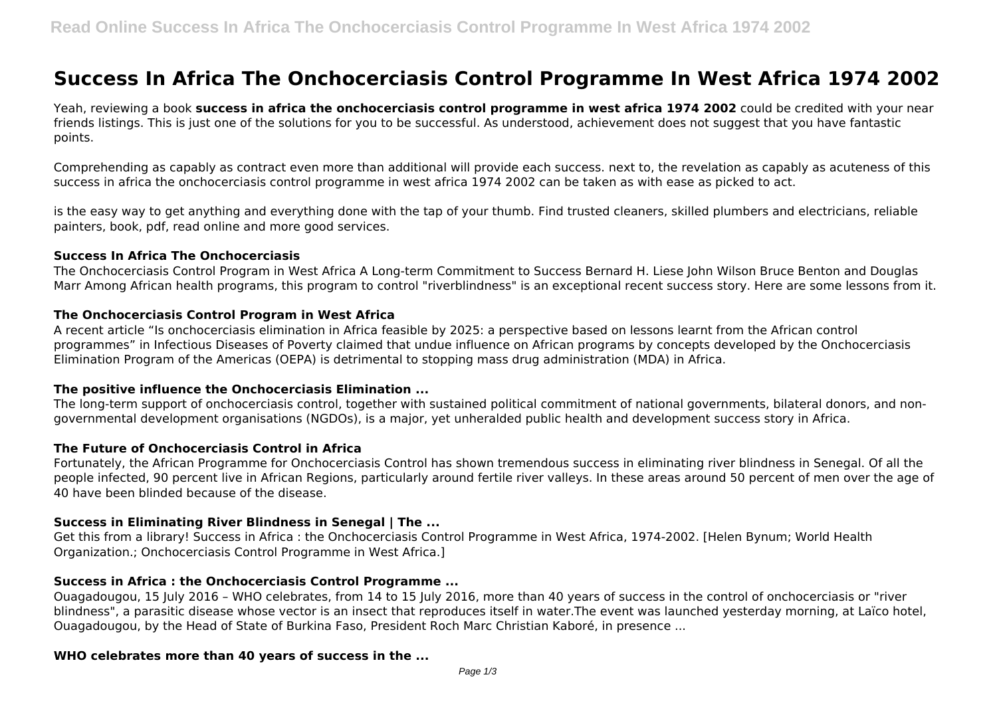# **Success In Africa The Onchocerciasis Control Programme In West Africa 1974 2002**

Yeah, reviewing a book **success in africa the onchocerciasis control programme in west africa 1974 2002** could be credited with your near friends listings. This is just one of the solutions for you to be successful. As understood, achievement does not suggest that you have fantastic points.

Comprehending as capably as contract even more than additional will provide each success. next to, the revelation as capably as acuteness of this success in africa the onchocerciasis control programme in west africa 1974 2002 can be taken as with ease as picked to act.

is the easy way to get anything and everything done with the tap of your thumb. Find trusted cleaners, skilled plumbers and electricians, reliable painters, book, pdf, read online and more good services.

#### **Success In Africa The Onchocerciasis**

The Onchocerciasis Control Program in West Africa A Long-term Commitment to Success Bernard H. Liese John Wilson Bruce Benton and Douglas Marr Among African health programs, this program to control "riverblindness" is an exceptional recent success story. Here are some lessons from it.

## **The Onchocerciasis Control Program in West Africa**

A recent article "Is onchocerciasis elimination in Africa feasible by 2025: a perspective based on lessons learnt from the African control programmes" in Infectious Diseases of Poverty claimed that undue influence on African programs by concepts developed by the Onchocerciasis Elimination Program of the Americas (OEPA) is detrimental to stopping mass drug administration (MDA) in Africa.

## **The positive influence the Onchocerciasis Elimination ...**

The long-term support of onchocerciasis control, together with sustained political commitment of national governments, bilateral donors, and nongovernmental development organisations (NGDOs), is a major, yet unheralded public health and development success story in Africa.

## **The Future of Onchocerciasis Control in Africa**

Fortunately, the African Programme for Onchocerciasis Control has shown tremendous success in eliminating river blindness in Senegal. Of all the people infected, 90 percent live in African Regions, particularly around fertile river valleys. In these areas around 50 percent of men over the age of 40 have been blinded because of the disease.

## **Success in Eliminating River Blindness in Senegal | The ...**

Get this from a library! Success in Africa : the Onchocerciasis Control Programme in West Africa, 1974-2002. [Helen Bynum; World Health Organization.; Onchocerciasis Control Programme in West Africa.]

## **Success in Africa : the Onchocerciasis Control Programme ...**

Ouagadougou, 15 July 2016 – WHO celebrates, from 14 to 15 July 2016, more than 40 years of success in the control of onchocerciasis or "river blindness", a parasitic disease whose vector is an insect that reproduces itself in water.The event was launched yesterday morning, at Laïco hotel, Ouagadougou, by the Head of State of Burkina Faso, President Roch Marc Christian Kaboré, in presence ...

## **WHO celebrates more than 40 years of success in the ...**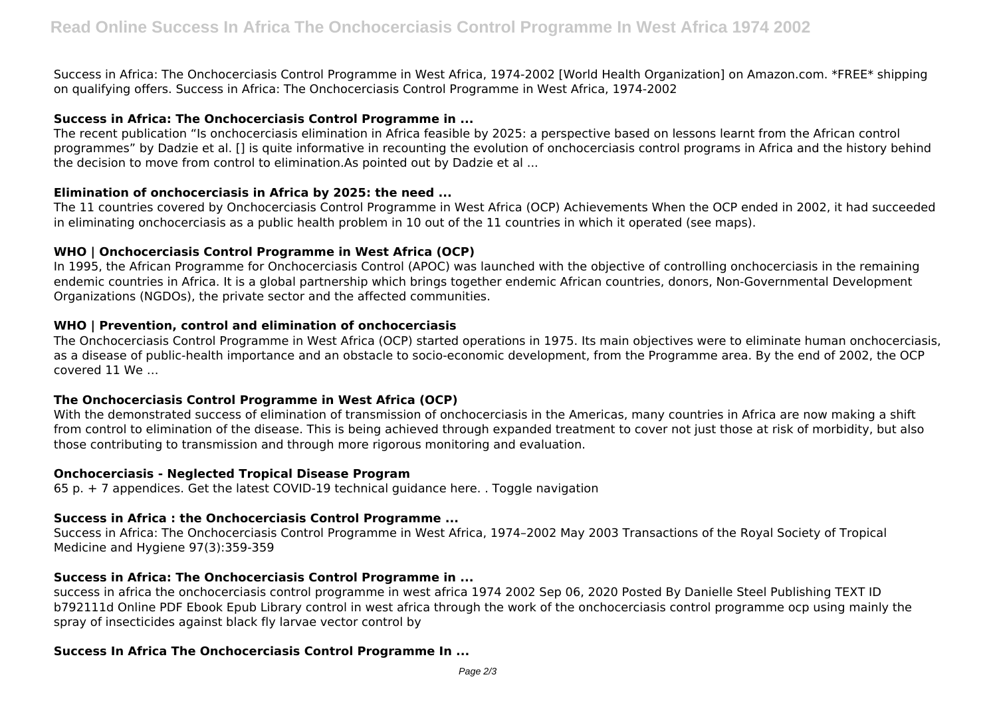Success in Africa: The Onchocerciasis Control Programme in West Africa, 1974-2002 [World Health Organization] on Amazon.com. \*FREE\* shipping on qualifying offers. Success in Africa: The Onchocerciasis Control Programme in West Africa, 1974-2002

## **Success in Africa: The Onchocerciasis Control Programme in ...**

The recent publication "Is onchocerciasis elimination in Africa feasible by 2025: a perspective based on lessons learnt from the African control programmes" by Dadzie et al. [] is quite informative in recounting the evolution of onchocerciasis control programs in Africa and the history behind the decision to move from control to elimination.As pointed out by Dadzie et al ...

## **Elimination of onchocerciasis in Africa by 2025: the need ...**

The 11 countries covered by Onchocerciasis Control Programme in West Africa (OCP) Achievements When the OCP ended in 2002, it had succeeded in eliminating onchocerciasis as a public health problem in 10 out of the 11 countries in which it operated (see maps).

## **WHO | Onchocerciasis Control Programme in West Africa (OCP)**

In 1995, the African Programme for Onchocerciasis Control (APOC) was launched with the objective of controlling onchocerciasis in the remaining endemic countries in Africa. It is a global partnership which brings together endemic African countries, donors, Non-Governmental Development Organizations (NGDOs), the private sector and the affected communities.

## **WHO | Prevention, control and elimination of onchocerciasis**

The Onchocerciasis Control Programme in West Africa (OCP) started operations in 1975. Its main objectives were to eliminate human onchocerciasis, as a disease of public-health importance and an obstacle to socio-economic development, from the Programme area. By the end of 2002, the OCP covered 11 We …

## **The Onchocerciasis Control Programme in West Africa (OCP)**

With the demonstrated success of elimination of transmission of onchocerciasis in the Americas, many countries in Africa are now making a shift from control to elimination of the disease. This is being achieved through expanded treatment to cover not just those at risk of morbidity, but also those contributing to transmission and through more rigorous monitoring and evaluation.

## **Onchocerciasis - Neglected Tropical Disease Program**

65 p. + 7 appendices. Get the latest COVID-19 technical guidance here. . Toggle navigation

## **Success in Africa : the Onchocerciasis Control Programme ...**

Success in Africa: The Onchocerciasis Control Programme in West Africa, 1974–2002 May 2003 Transactions of the Royal Society of Tropical Medicine and Hygiene 97(3):359-359

## **Success in Africa: The Onchocerciasis Control Programme in ...**

success in africa the onchocerciasis control programme in west africa 1974 2002 Sep 06, 2020 Posted By Danielle Steel Publishing TEXT ID b792111d Online PDF Ebook Epub Library control in west africa through the work of the onchocerciasis control programme ocp using mainly the spray of insecticides against black fly larvae vector control by

## **Success In Africa The Onchocerciasis Control Programme In ...**